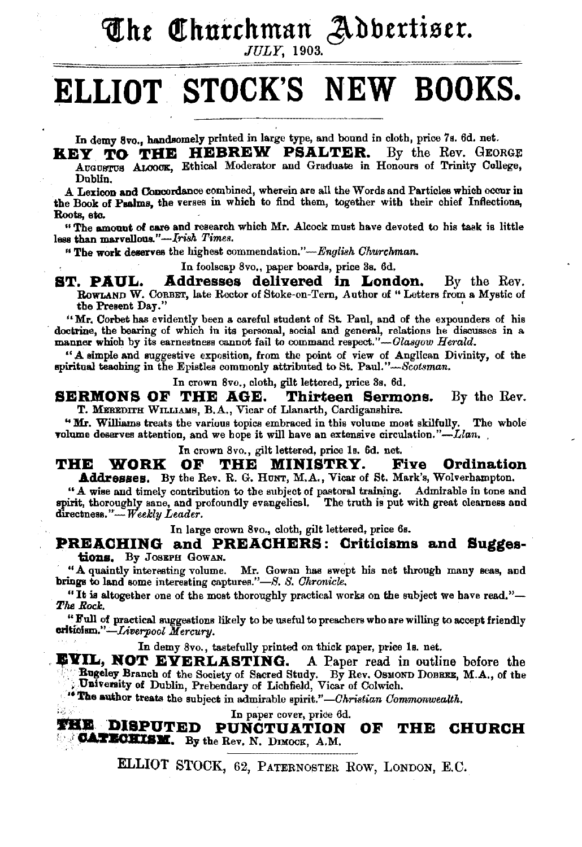**The Churchman Adbertiser.** 

## **ELLIOT . STOCK'S NEW BOOKS.**

In demy Svo., handsomely printed in large type, and bound in cloth, price 7s. 6d. net.

**KEY TO THE HEBREW PSALTER.** By the Rev. GEORGE AUGUSTUS ALOOCK, Ethical Moderator and Graduate in Honours of Trinity College, Dublin.

A Lexicon and Concordance combined, wherein are all the Words and Particles which occur in the Book of Psalms, the verses in which to find them, together with their chief Inflections, Roots, ete.

"The amount of care and research which Mr. Alcock must have devoted to his task is little less than marvellous."-*Irish Times.* 

"The work deserves the highest commendation,"-English Churchman.

In foolscap 8vo., paper boards, price 8s. 6d.

**ST. PAUL. Addresses delivered in London.** By the Rev. RoWLAND W. CoRBET, late Rector of Stoke-on-Tern, Author of" Letters from a Mystic of tbe Present Day." '

"Mr. Corbet has evidently been a careful student of St. Paul, and of the expounders of his doctrine, the bearing of which in its personal, social and general, relations he discusses in a manner which by its earnestness cannot fail to command respect."-Glasgow Herald.

"A simple and suggestive exposition, from the point of view of Anglican Divinity, of the spiritual teaching in the Epistles commonly attributed to St. Paul." $-Scotsman$ .

In crown 8vo., cloth, gilt lettered, price 3s, 6d,

**SERMONS OF THE AGE. Thirteen Sermons.** By the Rev. T. MEREDITH WILLIAMS, B.A., Vicar of Llanarth, Cardiganshire.

"Mr. Williams treats the various topics embraced in this volume most skilfully. The whole volume deserves attention, and we hope it will have an extensive circulation." $-Llan$ ,

In crown 8 vo., gilt lettered, price Is. 6d. net.

**THE WORK OF THE MINISTRY. Five Ordination**<br>**Addresses.** By the Rev. R. G. Hunt, M.A., Vicar of St. Mark's, Wolverhampton.

"A wise and timely contribution to the subject of pastoral training. Admirable in tone and spirit, thoroughly sane, and profoundly evangelical, The truth is put with great clearness and directness."-Weekly Leader.

In large crown 8vo., cloth, gilt lettered, price 6s.

**PREACHING and PREACHERS: Criticisms and Sugges-<br>tions.** By JOSEPH GOWAN.

. "A quaintly interesting volume. Mr. Gowan has swept his net through many sess, and brings to land some interesting captures." *-8. S. Chronicle.* 

"It is altogether one of the most thoroughly practical works on the subject we have read."- *'l'lul* Rod:.

"Full of practical suggestions likely to be useful to preachers who are willing to accspt friendly eritiolsm."-Liveryool *Mercury.* 

In demy 8vo., tastefully printed on thick paper, price 1s. net.

**EVIL, NOT EVERLASTING.** A Paper read in outline before the Bugeley Branch of the Society of Sacred Study. By Rev. OSMOND DOBBEE, M.A., of the University of Dublin, Prebendary of Lichfield, Vicar of Colwich.

<sup>14</sup> The author treats the subject in admirable spirit."-Christian Commonwealth.

In paper cover, price 6d.

**THE DISPUTED PUNCTUATION OF CATECHISM.** By the Rev. N. DIMOCK, A.M. **OF THE CHURCH** 

ELLIOT STOCK, 62, PATERNOSTER Row, LoNDON, E.C.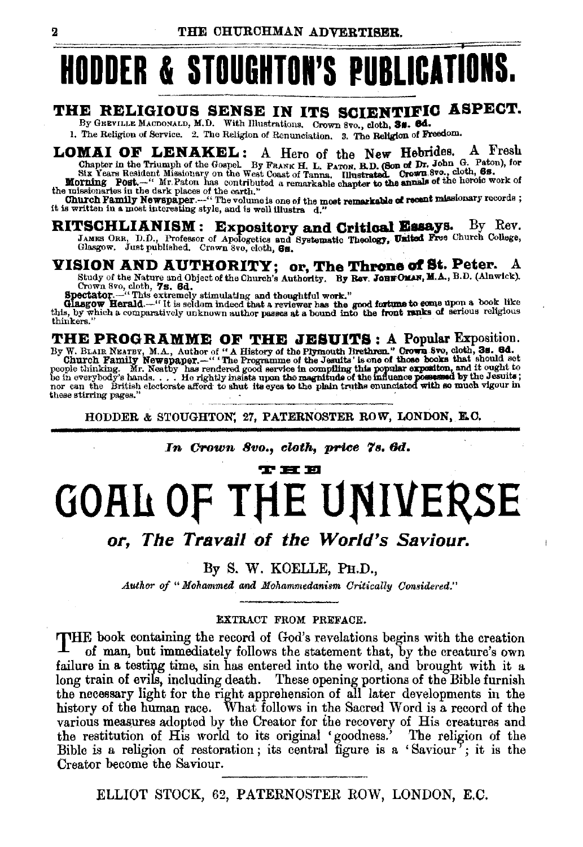## **HODDER & STOUGHTON'S PUBLICATIONS.**

### THE RELIGIOUS SENSE IN ITS SCIENTIFIC ASPECT.

By GREVILLE MACDONALD, M.D. With Hlustrations. Crown 8vo., cloth, 3s. 6d.

1. The Religion of Service. 2. The Religion of Renunciation. 3. The Religion of Freedom.

**LOMAI OF LENAKEL:** A Hero of the New Hebrides. A Fresh Chapter in the Triumph of the Gospel. By FRANK H. L. PATON, B.D. (Son of Dr. John G. Paton), for Six Years Resident Missionary on the West Coast of Tanna, Illustrate

it is written in a most interesting style, and is well illustra d.

RITSCHLIANISM: Expository and Critical Essays. By Rev. JAMES ORR. D.D., Professor of Apologetics and Systematic Theology, United Free Church College, Glasgow. Just published. Crown 8vo, cloth, 6s.

## VISION AND AUTHORITY; or, The Throne of St. Peter. A

A Study of the Nature and Object of the Church's Authority. By Rev. JOHN OF St. Peter. A Study of the Nature and Object of the Church's Authority. By Rev. JOHN OLAN, M.A., B.D. (Alnwick). Crown 8vo, cloth, 7g. 6d.<br>Spectato

THE PROGRAMME OF THE JESUITS: A Popular Exposition.<br>By W. BLAIR NEATEY, M.A., Author of "A History of the Plymouth Brethren." Grown 8vo, cloth, 3s. 6d.<br>Church Family Newspaper.-""The Programme of the Jesuits' is one of tho these stirring pages.

HODDER & STOUGHTON, 27, PATERNOSTER ROW, LONDON, E.C.

### In Crown 8vo., cloth, price 7s. 6d.

#### T H E

# **GOAL OF THE UNIVERSE**

or, The Travail of the World's Saviour.

### By S. W. KOELLE, PH.D.,

Author of "Mohammed and Mohammedanism Critically Considered."

### **EXTRACT FROM PREFACE.**

THE book containing the record of God's revelations begins with the creation of man, but immediately follows the statement that, by the creature's own failure in a testing time, sin has entered into the world, and brought with it a long train of evils, including death. These opening portions of the Bible furnish the necessary light for the right apprehension of all later developments in the history of the human race. What follows in the Sacred Word is a record of the various measures adopted by the Creator for the recovery of His creatures and the restitution of His world to its original 'goodness.' The religion of the Bible is a religion of restoration; its central figure is a 'Saviour'; it is the Creator become the Saviour.

ELLIOT STOCK, 62, PATERNOSTER ROW, LONDON, E.C.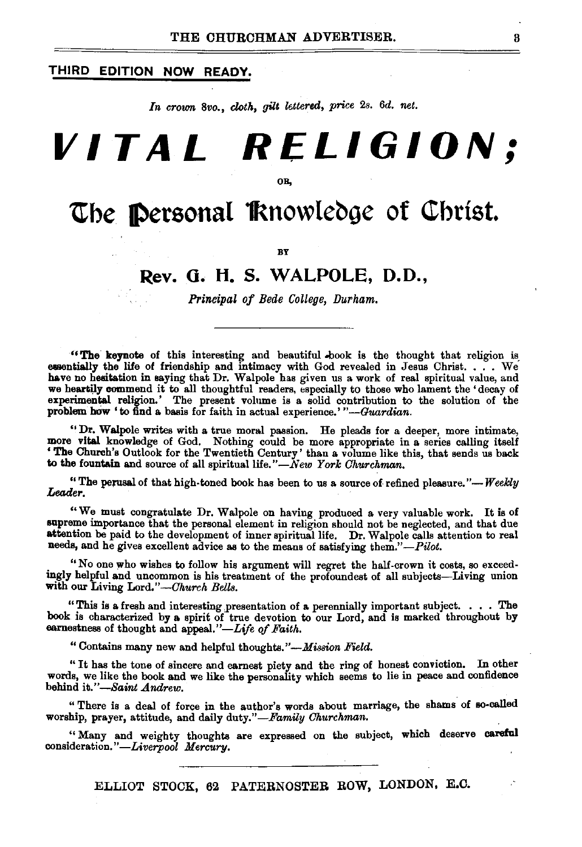### **THIRD EDITION NOW READY.**

*In crown Svo., cloth, gilt lettered, price* 2s. *6d. net.* 

# **VITAL RELIGION;**

OB,

## **The Personal Rnowledge of Christ.**

BY

### **Rev. 0. H. S. WALPOLE, D.O.,**

*Principal of Bede College, Durham.* 

"The keynote of this interesting and beautiful -book is the thought that religion is\_ essentially the life of friendship and intimacy with God revealed in Jesus Christ. . . . We have no hesitation in saying that Dr. Walpole has given us a work of real spiritual value, and we heartily commend it to all thoughtful readers, especially to those who lament the 'decay of experimental religion.' The present volume is a solid contribution to the solution of the problem how 'to find a basis for faith in actual experience.' "-Guardian.

"Dr. Walpole writes with a true moral passion. He pleads for a deeper, more intimate, more vital knowledge of God. Nothing could be more appropriate in a series calling itself 'The Church's Outlook for the Twentieth Century' than a volume like this, that sends us back to the fountain and source of all spiritual life."-New York Churchman.

"The perusal of that high-toned book has been to us a source of refined pleasure."-*Weekly* Leader.

"We must congratulate Dr. Walpole on having produced a very valuable work. It is of supreme importance that the personal element in religion should not be neglected, and that due attention be paid to the development of inner spiritual life. Dr. Walpole calls attention to real needs, and he gives excellent advice as to the means of satisfying *them."-Pilot.* 

"No one who wishes to follow his argument will regret the half-crown it costs, so exceedingly helpful and uncommon is his treatment of the profoundest of all subjects-Living union with our Living *Lord."-Ohurch Bells.* 

"This is a fresh and interesting presentation of a perennially important subject. . . . The book is characterized by a spirit of true devotion to our Lord, and is marked throughout by earnestness of thought and appeal."-Life of Faith.

"Contains many new and helpful thoughts."-Mission *Field.* 

"It has the tone of sincere and earnest piety and the ring of honest conviction. In other words, we like the book and we like the personality which seems to lie in peace and confidence behind *it."-Saint Andrew.* 

" There is a deal of force in the author's words about marriage, the shams of so-called worship, prayer, attitude, and daily duty."-Family Churchman.

"Many and weighty thoughts are expressed on the subject, which deserve careful consideration."-Liverpool Mercury.

ELLIOT STOCK, 62 PATERNOSTER ROW, LONDON, E.C.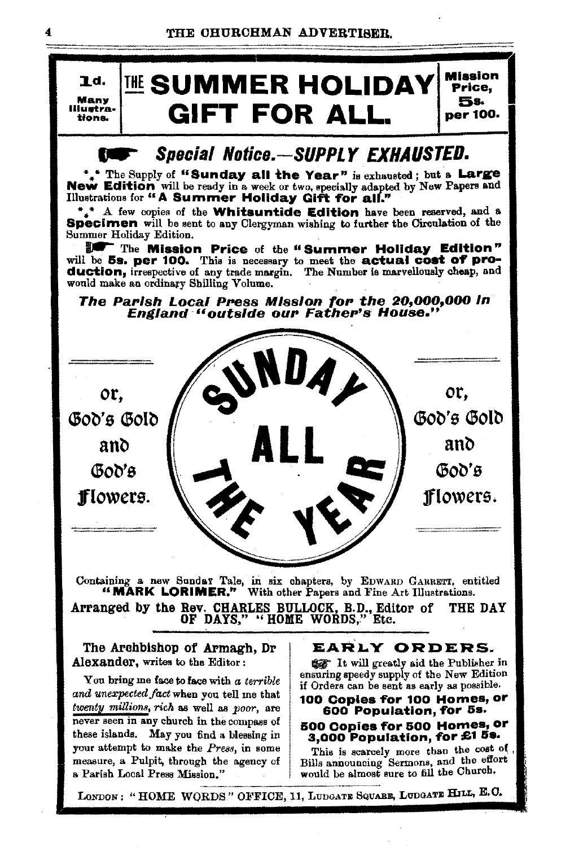

### Special Notice.-SUPPLY EXHAUSTED.

\*\* The Supply of "Sunday all the Year" is exhausted; but a Large<br>New Edition will be ready in a week or two, specially adapted by New Papers and Illustrations for "A Summer Holiday Gift for all."

 $*_{\ast}$ <sup>\*</sup> A few copies of the **Whitsuntide Edition** have been reserved, and a **Specimen** will be sent to any Clergyman wishing to further the Circulation of the Summer Holiday Edition.

The Mission Price of the "Summer Holiday Edition"<br>will be 5s. per 100. This is necessary to meet the actual cost of production, irrespective of any trade margin. The Number is marvellously cheap, and would make an ordinary Shilling Volume.

The Parish Local Press Mission for the 20,000,000 in **England "outside our Father's House."** 



Containing a new Sundar Tale, in six chapters, by EDWARD GARRETT, entitled "MARK LORIMER." With other Papers and Fine Art Illustrations.

Arranged by the Rev. CHARLES BULLOCK, B.D., Editor of THE DAY OF DAYS," ''HOME WORDS," Etc.

The Archbishop of Armagh, Dr Alexander, writes to the Editor:

Yon bring me face to face with *a terrible and unexpected fact* when you tell me that *twenty millions, rich* as well as *poor,* are never seen in any church in the compass of these islands. May you find a blessing in your attempt to make the *Press,* in some measure, a Pulpit, through the agency of a Parish Local Press Mission."

### EARLY ORDERS.

liar It will greatly aid the Publisher in ensuring speedy supply of the New Edition if Orders can be sent as early as possible.

### 100 Copies for 100 Homes, or 600 Population, for 5s.

## 500 Copies for 500 Homes, or<br>3,000 Population, for £1 5s.

This is scarcely more than the cost of , Bills announcing Sermons, and the effort would be almost sure to fill the Church.

LONDON: "HOME WORDS" OFFICE, 11, LUDGATE SQUARE, LUDGATE HILL, E.C.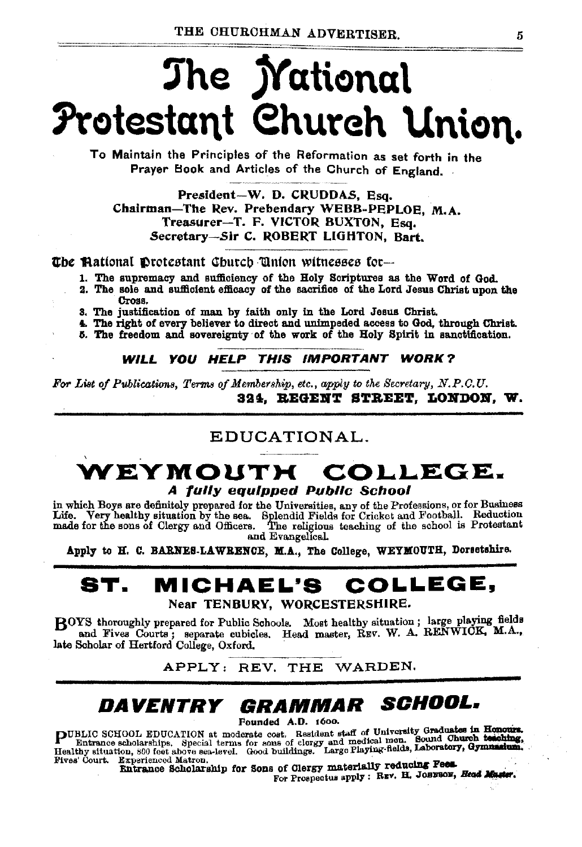# The *Mational* Protestant Church Union.

To Maintain the Principles of the Reformation as set forth in the Praver Book and Articles of the Church of England.

President-W. D. CRUDDAS, Esq. Chairman-The Rev. Prebendary WEBB-PEPLOE, M.A. Treasurer-T. F. VICTOR BUXTON, Esq. Secretary-Sir C. ROBERT LIGHTON, Bart.

The Mational Drotestant Church Union witnesses for-

1. The supremacy and sufficiency of the Holy Scriptures as the Word of God.

2. The sole and sufficient efficacy of the sacrifice of the Lord Jesus Christ upon the Cross.

3. The justification of man by faith only in the Lord Jesus Christ.

4. The right of every believer to direct and unimpeded access to God, through Christ.

5. The freedom and sovereignty of the work of the Holy Spirit in sanctification.

WILL YOU HELP THIS IMPORTANT WORK?

For List of Publications, Terms of Membership, etc., apply to the Secretary, N.P.C.U. 324. REGENT STREET. LONDON. W.

### EDUCATIONAL.

### VEYMOUTH COLLEGE. A fully equipped Public School

in which Boys are definitely prepared for the Universities, any of the Professions, or for Business Life. Very healthy situation by the sea. Splendid Fields for Cricket and Football. Reduction made for the sons of Clergy and Officers. The religious teaching of the school is Protestant and Evangelical.

Apply to H. C. BARNES-LAWRENCE, M.A., The College, WEYMOUTH, Dorsetshire.

#### MICHAEL'S ST. COLLEGE. Near TENBURY, WORCESTERSHIRE.

BOYS thoroughly prepared for Public Schools. Most healthy situation; large playing fields and Fives Courts; separate cubicles. Head master, REV. W. A. RENWICK, M.A., late Scholar of Hertford College, Oxford.

APPLY: REV. THE WARDEN.

### DAVENTRY GRAMMAR SCHOOL.

Founded A.D. 1600.

PUBLIC SCHOOL EDUCATION at moderate cost. Resident staff of University Graduates in Honours.<br>Entrance scholarships. Special terms for some of clorgy and medical men. Sound Church testoling,<br>Head Church scholarships. Device Fives' Court. Experienced Matron.

Entrance Scholarship for Sons of Clergy materially reducing Pees.

For Prospectus apply : REV. H. JOHNBON, Head Muster.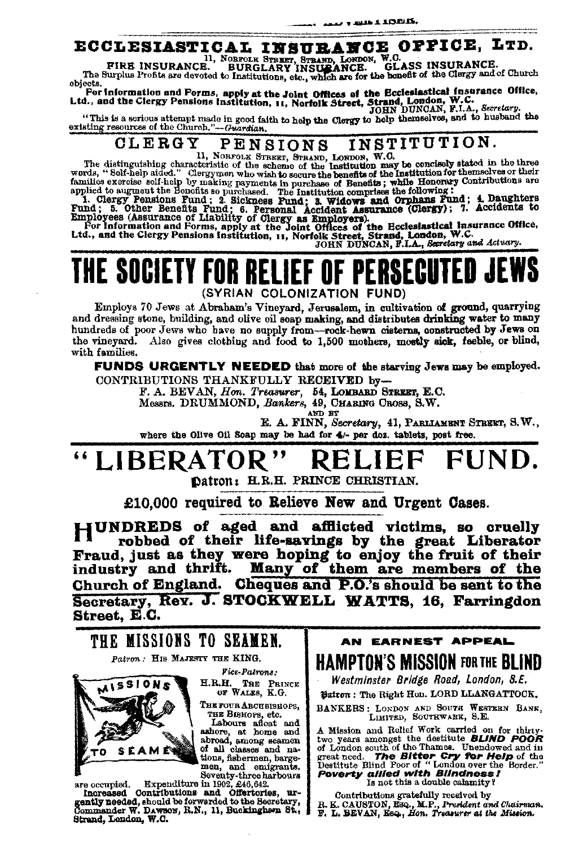### ECCLESIASTICAL INSURANCE OFFICE, LTD.

FIRE INSURANCE.<br>The Surplus Profits are devoted to Institutions, etc., which are for the banefit of the Clergy and of Church<br>lects. objects.

For Information and Forms, apply at the Joint Offices of the Ecclesiastical insurance Office,<br>Ltd., and the Clergy Pensions Institution, 11, Norfolk Street, Strand, London, W.C.<br>IOHN DUNGAN, F.I.A., Secretary.

"This is a serious attempt made in good faith to help the Clergy to help themselves, and to husband the existing resources of the Church."-Guardian.

#### INSTITUTION. CLERGY PENSIONS

The distinguishing characteristic of the scheme of the Institution may be concisely stated in the three<br>words, "Self-help aided." Clergymen who wish to secure the benefits of the Institution for the<br>second of the finituati

words, "Self-help add." Clergymen who wish to secure the benefits of the Institution or the<br>mailies exercise self-help by making payments in purchase of Benefits; while Honorary Contributions are<br>applied to augment the Bon

THE SOCIETY FOR RELIEF OF PERSECUTED JEWS (SYRIAN COLONIZATION FUND)

Employs 70 Jews at Abraham's Vineyard, Jerusalem, in cultivation of ground, quarrying and dressing stone, building, and olive oil soap making, and distributes drinking water to many hundreds of poor Jews who have no supply from-rock-hewn cisterns, constructed by Jews on the vineyard. Also gives clothing and food to 1,500 mothers, mostly sick, feeble, or blind, with families.

**FUNDS URGENTLY NEEDED** that more of the starving Jews may be employed. CONTRIBUTIONS THANKFULLY RECEIVED by-

F. A. BEVAN, Hon. Treasurer, 54, LOMBARD STREET, E.C.

Messrs. DRUMMOND, Bankers, 49, CHARING CROSS, S.W.

AND BY

E. A. FINN, Secretary, 41, PARLIAMENT STREET, S.W., where the Olive Oil Soap may be had for 4/- par doz. tablets, post free.

#### "LIBERATOR" FUND. KELII

Datron: H.R.H. PRINCE CHRISTIAN.

£10.000 required to Relieve New and Urgent Cases.

HUNDREDS of aged and afflicted victims, so cruelly robbed of their life-savings by the great Liberator Fraud, just as they were hoping to enjoy the fruit of their industry and thrift. Many of them are members of the Church of England. Cheques and P.O.'s should be sent to the Secretary, Rev. J. STOCKWELL WATTS, 16, Farringdon Street, E.C.



men, and emigrants.<br>Seventy-three harbours<br>Expenditure in 1902, £46,642.

are occupied. Increased Contributions and Offertories, ur-<br>gently needed, should be forwarded to the Secretary,<br>commander W. DAWBON, R.N., 11, Buckingham St.,  $\mathbf{u}$ -Strand, London, W.C.

AN EARNEST APPEAL **HAMPTON'S MISSION FOR THE BLIND** 

Westminster Bridge Road, London, S.E.

Dairon: The Right Hon. LORD LLANGATTOCK.

BANKERS: LONDON AND SOUTH WESTERN BANK, LIMITED, SOUTHWARK, S.E.

A Mission and Relief Work carried on for thirty-<br>two years amongst the destitute **BLIND POOR**<br>of London south of the Thames. Unendowed and in<br>great need. **The Bitter-Cry for Help** of the<br>Destitute Blind Poor of "London ove **Poverty allied with Bilndness!** Is not this a double calamity?

Contributions gratefully received by R. K. CAUSTON, Esq., M.P., President and Chairman.<br>F. L. BEVAN, Esq., Hon. Treasurer at the Mission.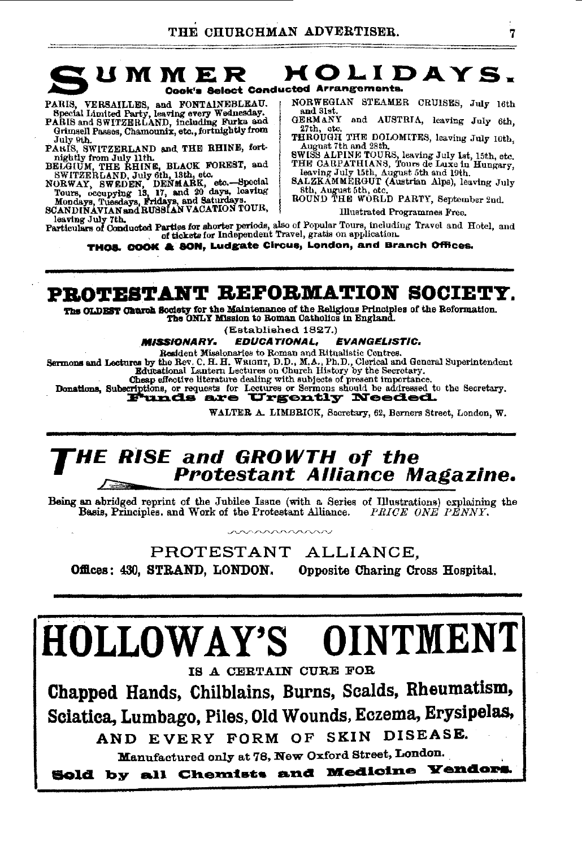

PARIS, VERSAILLES, and FONTAINEBLEAU.<br>Special Limited Party, leaving every Wednesday.<br>PARIS and SWITZERLAND, including Farks and

- Grimsell Passes, Chamounix, etc., fortnightly from July 9th
- PARIS, SWITZERLAND and THE RHINE, fort-
- 
- FANIS, SWITZERLAND and The RIFLEST, and<br>BELGIUM, THE RHINE, SELVICE FOREST, and<br>SWITZERLAND, July 9th, 18th, etc. ...-Bpecial<br>Tours, occupying 18, 17, and 20 days, leaving<br>Tours, occupying 18, 17, and 20 days, leaving<br>Mond
- 

NORWEGIAN STEAMER CRUISES, July 16th and 31st GERMANY and AUSTRIA, leaving July 6th.

- 27th, etc. THROUGH THE DOLOMITES, leaving July 10th,
- August 7th and 28th.
- SWISS ALPINE TOURS, leaving July 1st, 15th, etc.<br>THE CARPATHIANS, Tours de Luxe in Hungary,
- THE CARL ARRIVES TO THE CARD IN LABOUT AND BELIEVES SALZKAMMERGUT (Austrian Alps), leaving July Sth, August 5th, etc. The Country, September 2nd,

**Illustrated Programmes Free.** 

beying July 7th.<br>
Particulars of Conducted Parties for shorter periods, also of Popular Tours, including Travel and Hotel, and<br>
of tickets for Independent Travel, gratis on application.<br>
of the state of the conducted Parti

THOS. COOK & SON, Ludgate Circus, London, and Branch Offices.

### PROTESTANT REFORMATION SOCIETY.

The OLDEST Church Society for the Maintenance of the Religious Principles of the Reformation. The ONLY Mission to Roman Catholics in England.

(Established 1827.)

#### **MISSIONARY. EDUCATIONAL, EVANGELISTIC.**

Resident Missionaries to Roman and Ritualistic Centres.

Sermons and Lectures by the Rev. C. H. H. WRIGHT, D.D., M.A., Ph.D., Clerical and General Superintendent Educational Lantern Lectures on Church History by the Secretary.

Chasp effective literature dealing with subjects of present importance.<br>Donations, Subscriptions, or requests for Lectures or Sermons should be addressed to the Secretary.<br>Funds are Urgently Needed.

WALTER A. LIMBRICK, Secretary, 62, Berners Street, London, W.

# **THE RISE** and GROWTH of the  $\sim$  Protestant Alliance Magazine.

Being an abridged reprint of the Jubilee Issue (with a Series of Illustrations) explaining the Basis, Principles. and Work of the Protestant Alliance. PRICE ONE PENNY.

PROTESTANT ALLIANCE. Offices: 430, STRAND, LONDON, Opposite Charing Cross Hospital.